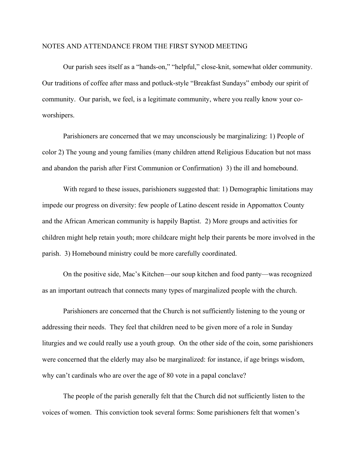## NOTES AND ATTENDANCE FROM THE FIRST SYNOD MEETING

Our parish sees itself as a "hands-on," "helpful," close-knit, somewhat older community. Our traditions of coffee after mass and potluck-style "Breakfast Sundays" embody our spirit of community. Our parish, we feel, is a legitimate community, where you really know your coworshipers.

Parishioners are concerned that we may unconsciously be marginalizing: 1) People of color 2) The young and young families (many children attend Religious Education but not mass and abandon the parish after First Communion or Confirmation) 3) the ill and homebound.

With regard to these issues, parishioners suggested that: 1) Demographic limitations may impede our progress on diversity: few people of Latino descent reside in Appomattox County and the African American community is happily Baptist. 2) More groups and activities for children might help retain youth; more childcare might help their parents be more involved in the parish. 3) Homebound ministry could be more carefully coordinated.

On the positive side, Mac's Kitchen—our soup kitchen and food panty—was recognized as an important outreach that connects many types of marginalized people with the church.

Parishioners are concerned that the Church is not sufficiently listening to the young or addressing their needs. They feel that children need to be given more of a role in Sunday liturgies and we could really use a youth group. On the other side of the coin, some parishioners were concerned that the elderly may also be marginalized: for instance, if age brings wisdom, why can't cardinals who are over the age of 80 vote in a papal conclave?

The people of the parish generally felt that the Church did not sufficiently listen to the voices of women. This conviction took several forms: Some parishioners felt that women's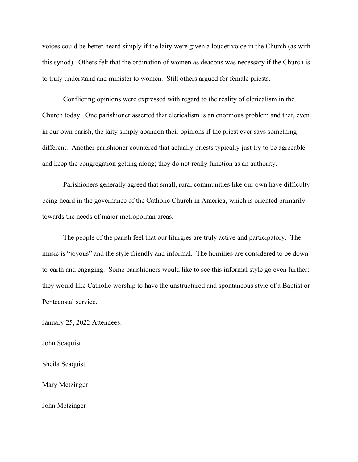voices could be better heard simply if the laity were given a louder voice in the Church (as with this synod). Others felt that the ordination of women as deacons was necessary if the Church is to truly understand and minister to women. Still others argued for female priests.

Conflicting opinions were expressed with regard to the reality of clericalism in the Church today. One parishioner asserted that clericalism is an enormous problem and that, even in our own parish, the laity simply abandon their opinions if the priest ever says something different. Another parishioner countered that actually priests typically just try to be agreeable and keep the congregation getting along; they do not really function as an authority.

Parishioners generally agreed that small, rural communities like our own have difficulty being heard in the governance of the Catholic Church in America, which is oriented primarily towards the needs of major metropolitan areas.

The people of the parish feel that our liturgies are truly active and participatory. The music is "joyous" and the style friendly and informal. The homilies are considered to be downto-earth and engaging. Some parishioners would like to see this informal style go even further: they would like Catholic worship to have the unstructured and spontaneous style of a Baptist or Pentecostal service.

January 25, 2022 Attendees:

John Seaquist

Sheila Seaquist

Mary Metzinger

John Metzinger